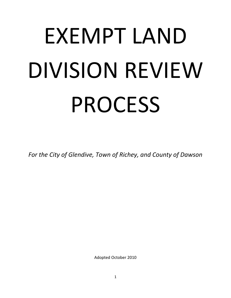# EXEMPT LAND DIVISION REVIEW PROCESS

*For the City of Glendive, Town of Richey, and County of Dawson*

Adopted October 2010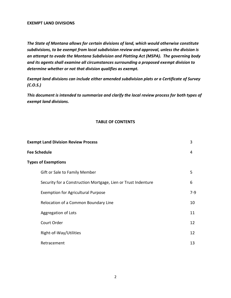#### **EXEMPT LAND DIVISIONS**

*The State of Montana allows for certain divisions of land, which would otherwise constitute subdivisions, to be exempt from local subdivision review and approval, unless the division is an attempt to evade the Montana Subdivision and Platting Act (MSPA). The governing body and its agents shall examine all circumstances surrounding a proposed exempt division to determine whether or not that division qualifies as exempt.* 

*Exempt land divisions can include either amended subdivision plats or a Certificate of Survey (C.O.S.)*

*This document is intended to summarize and clarify the local review process for both types of exempt land divisions.*

#### **TABLE OF CONTENTS**

| <b>Exempt Land Division Review Process</b> |                                                               | 3     |  |
|--------------------------------------------|---------------------------------------------------------------|-------|--|
| <b>Fee Schedule</b>                        |                                                               |       |  |
| <b>Types of Exemptions</b>                 |                                                               |       |  |
|                                            | Gift or Sale to Family Member                                 | 5     |  |
|                                            | Security for a Construction Mortgage, Lien or Trust Indenture | 6     |  |
|                                            | <b>Exemption for Agricultural Purpose</b>                     | $7-9$ |  |
|                                            | Relocation of a Common Boundary Line                          | 10    |  |
|                                            | Aggregation of Lots                                           | 11    |  |
|                                            | Court Order                                                   | 12    |  |
|                                            | Right-of-Way/Utilities                                        | 12    |  |
|                                            | Retracement                                                   | 13    |  |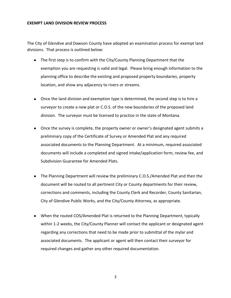#### **EXEMPT LAND DIVISION REVIEW PROCESS**

The City of Glendive and Dawson County have adopted an examination process for exempt land divisions. That process is outlined below:

- The first step is to confirm with the City/County Planning Department that the exemption you are requesting is valid and legal. Please bring enough information to the planning office to describe the existing and proposed property boundaries, property location, and show any adjacency to rivers or streams.
- Once the land division and exemption type is determined, the second step is to hire a surveyor to create a new plat or C.O.S. of the new boundaries of the proposed land division. The surveyor must be licensed to practice in the state of Montana.
- Once the survey is complete, the property owner or owner's designated agent submits a preliminary copy of the Certificate of Survey or Amended Plat and any required associated documents to the Planning Department. At a minimum, required associated documents will include a completed and signed intake/application form, review fee, and Subdivision Guarantee for Amended Plats.
- The Planning Department will review the preliminary C.O.S./Amended Plat and then the document will be routed to all pertinent City or County departments for their review, corrections and comments, including the County Clerk and Recorder, County Sanitarian, City of Glendive Public Works, and the City/County Attorney, as appropriate.
- When the routed COS/Amended Plat is returned to the Planning Department, typically within 1-2 weeks, the City/County Planner will contact the applicant or designated agent regarding any corrections that need to be made prior to submittal of the mylar and associated documents. The applicant or agent will then contact their surveyor for required changes and gather any other required documentation.

3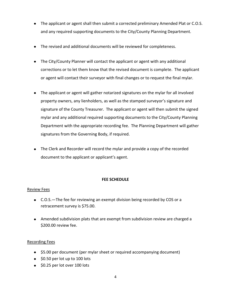- The applicant or agent shall then submit a corrected preliminary Amended Plat or C.O.S. and any required supporting documents to the City/County Planning Department.
- The revised and additional documents will be reviewed for completeness.
- The City/County Planner will contact the applicant or agent with any additional corrections or to let them know that the revised document is complete. The applicant or agent will contact their surveyor with final changes or to request the final mylar.
- The applicant or agent will gather notarized signatures on the mylar for all involved property owners, any lienholders, as well as the stamped surveyor's signature and signature of the County Treasurer. The applicant or agent will then submit the signed mylar and any additional required supporting documents to the City/County Planning Department with the appropriate recording fee. The Planning Department will gather signatures from the Governing Body, if required.
- The Clerk and Recorder will record the mylar and provide a copy of the recorded document to the applicant or applicant's agent.

## **FEE SCHEDULE**

#### Review Fees

- C.O.S.—The fee for reviewing an exempt division being recorded by COS or a retracement survey is \$75.00.
- Amended subdivision plats that are exempt from subdivision review are charged a \$200.00 review fee.

## Recording Fees

- \$5.00 per document (per mylar sheet or required accompanying document)
- $\bullet$  \$0.50 per lot up to 100 lots
- $\bullet$  \$0.25 per lot over 100 lots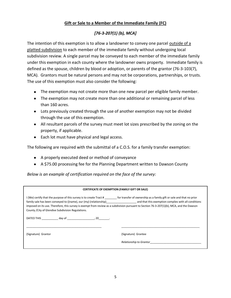## **Gift or Sale to a Member of the Immediate Family (FC)**

# *[76-3-207(1) (b), MCA]*

The intention of this exemption is to allow a landowner to convey one parcel outside of a platted subdivision to each member of the immediate family without undergoing local subdivision review. A single parcel may be conveyed to each member of the immediate family under this exemption in each county where the landowner owns property. Immediate family is defined as the spouse, children by blood or adoption, or parents of the grantor (76-3-103(7), MCA). Grantors must be natural persons and may not be corporations, partnerships, or trusts. The use of this exemption must also consider the following:

- The exemption may not create more than one new parcel per eligible family member.
- The exemption may not create more than one additional or remaining parcel of less than 160 acres.
- Lots previously created through the use of another exemption may not be divided through the use of this exemption.
- All resultant parcels of the survey must meet lot sizes prescribed by the zoning on the property, if applicable.
- Each lot must have physical and legal access.

The following are required with the submittal of a C.O.S. for a family transfer exemption:

- A properly executed deed or method of conveyance
- A \$75.00 processing fee for the Planning Department written to Dawson County

*Below is an example of certification required on the face of the survey:*

#### **CERTIFICATE OF EXEMPTION (FAMILY GIFT OR SALE)**

I (We) certify that the purpose of this survey is to create Tract # \_\_\_\_\_\_\_\_ for transfer of ownership as a family gift or sale and that no prior family sale has been conveyed to ((name), our (my) (relationship)\_\_\_\_\_\_\_\_\_\_\_\_\_\_\_\_\_\_\_\_ and that this exemption complies with all conditions imposed on its use. Therefore, this survey is exempt from review as a subdivision pursuant to Section 76-3-207(1)(b), MCA, and the Dawson County /City of Glendive Subdivision Regulations. DATED THIS \_\_\_\_\_\_\_\_\_\_\_ day of \_\_\_\_\_\_\_\_\_\_\_\_\_\_\_\_\_\_, 20\_\_\_\_\_\_\_. \_\_\_\_\_\_\_\_\_\_\_\_\_\_\_\_\_\_\_\_\_\_\_\_\_\_\_\_\_\_\_\_\_\_\_\_\_\_\_\_\_\_\_\_\_\_\_\_\_\_ \_\_\_\_\_\_\_\_\_\_\_\_\_\_\_\_\_\_\_\_\_\_\_\_\_\_\_\_\_\_\_\_\_\_\_\_\_\_\_\_\_\_\_\_\_\_\_\_\_\_\_\_ (Signature) Grantor (Signature) Grantee

*Relationship to Grantor*\_\_\_\_\_\_\_\_\_\_\_\_\_\_\_\_\_\_\_\_\_\_\_\_\_\_\_\_\_\_\_\_\_\_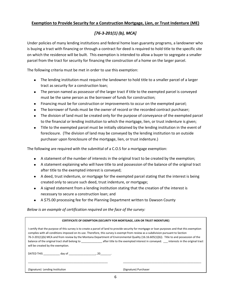#### **Exemption to Provide Security for a Construction Mortgage, Lien, or Trust Indenture (ME)**

# *[76-3-201(1) (b), MCA]*

Under policies of many lending institutions and federal home loan guaranty programs, a landowner who is buying a tract with financing or through a contract for deed is required to hold title to the specific site on which the residence will be built. This exemption is intended to allow a buyer to segregate a smaller parcel from the tract for security for financing the construction of a home on the larger parcel.

The following criteria must be met in order to use this exemption:

- The lending institution must require the landowner to hold title to a smaller parcel of a larger tract as security for a construction loan;
- The person named as possessor of the larger tract if title to the exempted parcel is conveyed must be the same person as the borrower of funds for construction;
- Financing must be for construction or improvements to occur on the exempted parcel;
- The borrower of funds must be the owner of record or the recorded contract purchaser;
- The division of land must be created only for the purpose of conveyance of the exempted parcel to the financial or lending institution to which the mortgage, lien, or trust indenture is given;
- Title to the exempted parcel must be initially obtained by the lending institution in the event of foreclosure. (The division of land may be conveyed by the lending institution to an outside purchaser upon foreclosure of the mortgage, lien, or trust indenture.)

The following are required with the submittal of a C.O.S for a mortgage exemption:

- A statement of the number of interests in the original tract to be created by the exemption;
- A statement explaining who will have title to and possession of the balance of the original tract after title to the exempted interest is conveyed;
- A deed, trust indenture, or mortgage for the exempted parcel stating that the interest is being created only to secure such deed, trust indenture, or mortgage;
- A signed statement from a lending institution stating that the creation of the interest is necessary to secure a construction loan; and
- A \$75.00 processing fee for the Planning Department written to Dawson County

#### *Below is an example of certification required on the face of the survey:*

| <b>CERTIFICATE OF EXEMPTION (SECURITY FOR MORTGAGE, LIEN OR TRUST INDENTURE)</b>                                                                                                                                                                                                                                                                                                                                                                                                                                                                                                                                     |  |                                                                                                                                                                                                                                |                       |  |  |
|----------------------------------------------------------------------------------------------------------------------------------------------------------------------------------------------------------------------------------------------------------------------------------------------------------------------------------------------------------------------------------------------------------------------------------------------------------------------------------------------------------------------------------------------------------------------------------------------------------------------|--|--------------------------------------------------------------------------------------------------------------------------------------------------------------------------------------------------------------------------------|-----------------------|--|--|
| I certify that the purpose of this survey is to create a parcel of land to provide security for mortgage or loan purposes and that this exemption<br>complies with all conditions imposed on its use. Therefore, this survey is exempt from review as a subdivision pursuant to Section<br>76-3-201(1)(b) MCA and from review by the Montana Department of Environmental Quality (16.16.605(1)(b)). Title to and possession of the<br>balance of the original tract shall belong to belong to after title to the exempted interest in conveyed. Interests in the original tract<br>will be created by the exemption. |  |                                                                                                                                                                                                                                |                       |  |  |
|                                                                                                                                                                                                                                                                                                                                                                                                                                                                                                                                                                                                                      |  | DATED THIS day of the control of the control of the control of the control of the control of the control of the control of the control of the control of the control of the control of the control of the control of the contr |                       |  |  |
| (Signature) Lending Institution                                                                                                                                                                                                                                                                                                                                                                                                                                                                                                                                                                                      |  |                                                                                                                                                                                                                                | (Signature) Purchaser |  |  |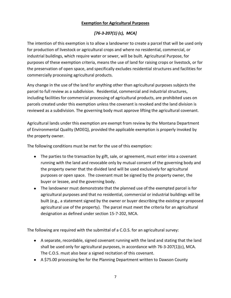## **Exemption for Agricultural Purposes**

# *[76-3-207(1) (c), MCA]*

The intention of this exemption is to allow a landowner to create a parcel that will be used only for production of livestock or agricultural crops and where no residential, commercial, or industrial buildings, which require water or sewer, will be built. Agricultural Purpose, for purposes of these exemption criteria, means the use of land for raising crops or livestock, or for the preservation of open space, and specifically excludes residential structures and facilities for commercially processing agricultural products.

Any change in the use of the land for anything other than agricultural purposes subjects the parcel to full review as a subdivision. Residential, commercial and industrial structures, including facilities for commercial processing of agricultural products, are prohibited uses on parcels created under this exemption unless the covenant is revoked and the land division is reviewed as a subdivision. The governing body must approve lifting the agricultural covenant.

Agricultural lands under this exemption are exempt from review by the Montana Department of Environmental Quality (MDEQ), provided the applicable exemption is properly invoked by the property owner.

The following conditions must be met for the use of this exemption:

- The parties to the transaction by gift, sale, or agreement, must enter into a covenant running with the land and revocable only by mutual consent of the governing body and the property owner that the divided land will be used exclusively for agricultural purposes or open space. The covenant must be signed by the property owner, the buyer or lessee, and the governing body.
- The landowner must demonstrate that the planned use of the exempted parcel is for agricultural purposes and that no residential, commercial or industrial buildings will be built (e.g., a statement signed by the owner or buyer describing the existing or proposed agricultural use of the property). The parcel must meet the criteria for an agricultural designation as defined under section 15-7-202, MCA.

The following are required with the submittal of a C.O.S. for an agricultural survey:

- A separate, recordable, signed covenant running with the land and stating that the land shall be used only for agricultural purposes, in accordance with 76-3-207(1)(c), MCA. The C.O.S. must also bear a signed recitation of this covenant.
- A \$75.00 processing fee for the Planning Department written to Dawson County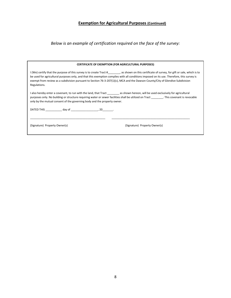## **Exemption for Agricultural Purposes (Continued)**

*Below is an example of certification required on the face of the survey:*

| <b>CERTIFICATE OF EXEMPTION (FOR AGRICULTURAL PURPOSES)</b>                                                                                                                                                                                                                                                                                                                                                                                 |                               |  |  |  |
|---------------------------------------------------------------------------------------------------------------------------------------------------------------------------------------------------------------------------------------------------------------------------------------------------------------------------------------------------------------------------------------------------------------------------------------------|-------------------------------|--|--|--|
| I (We) certify that the purpose of this survey is to create Tract # , as shown on this certificate of survey, for gift or sale, which is to<br>be used for agricultural purposes only, and that this exemption complies with all conditions imposed on its use. Therefore, this survey is<br>exempt from review as a subdivision pursuant to Section 76-3-207(1)(c), MCA and the Dawson County/City of Glendive Subdivision<br>Regulations. |                               |  |  |  |
| I also hereby enter a covenant, to run with the land, that Tract __________ as shown hereon, will be used exclusively for agricultural<br>purposes only. No building or structure requiring water or sewer facilities shall be utilized on Tract This covenant is revocable<br>only by the mutual consent of the governing body and the property owner.                                                                                     |                               |  |  |  |
|                                                                                                                                                                                                                                                                                                                                                                                                                                             |                               |  |  |  |
| (Signature) Property Owner(s)                                                                                                                                                                                                                                                                                                                                                                                                               | (Signature) Property Owner(s) |  |  |  |

8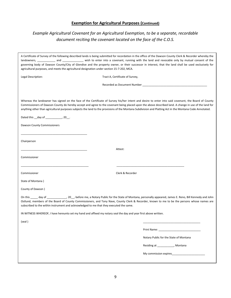#### **Exemption for Agricultural Purposes (Continued)**

# *Example Agricultural Covenant for an Agricultural Exemption, to be a separate, recordable document reciting the covenant located on the face of the C.O.S.*

|                                                                                                                  | A Certificate of Survey of the following described lands is being submitted for recordation in the office of the Dawson County Clerk & Recorder whereby the                                                                                                                                                                                                                                                                                                               |
|------------------------------------------------------------------------------------------------------------------|---------------------------------------------------------------------------------------------------------------------------------------------------------------------------------------------------------------------------------------------------------------------------------------------------------------------------------------------------------------------------------------------------------------------------------------------------------------------------|
|                                                                                                                  | landowners, ___________ and ______________ wish to enter into a covenant, running with the land and revocable only by mutual consent of the<br>governing body of Dawson County/City of Glendive and the property owner, or their successor in interest, that the land shall be used exclusively for                                                                                                                                                                       |
| agricultural purposes, and meets the agricultural designation under section 15-7-202, MCA.                       |                                                                                                                                                                                                                                                                                                                                                                                                                                                                           |
| Legal Description:                                                                                               | Tract A, Certificate of Survey,                                                                                                                                                                                                                                                                                                                                                                                                                                           |
|                                                                                                                  |                                                                                                                                                                                                                                                                                                                                                                                                                                                                           |
|                                                                                                                  |                                                                                                                                                                                                                                                                                                                                                                                                                                                                           |
|                                                                                                                  | Whereas the landowner has signed on the face of the Certificate of Survey his/her intent and desire to enter into said covenant, the Board of County<br>Commissioners of Dawson County do hereby accept and agree to the covenant being placed upon the above described land. A change in use of the land for<br>anything other than agricultural purposes subjects the land to the provisions of the Montana Subdivision and Platting Act in the Montana Code Annotated. |
| Dated this __day of _____________, 20__.                                                                         |                                                                                                                                                                                                                                                                                                                                                                                                                                                                           |
| Dawson County Commissioners                                                                                      |                                                                                                                                                                                                                                                                                                                                                                                                                                                                           |
| Chairperson                                                                                                      |                                                                                                                                                                                                                                                                                                                                                                                                                                                                           |
|                                                                                                                  | Attest:                                                                                                                                                                                                                                                                                                                                                                                                                                                                   |
| Commissioner                                                                                                     |                                                                                                                                                                                                                                                                                                                                                                                                                                                                           |
| Commissioner                                                                                                     | Clerk & Recorder                                                                                                                                                                                                                                                                                                                                                                                                                                                          |
| State of Montana)                                                                                                |                                                                                                                                                                                                                                                                                                                                                                                                                                                                           |
| County of Dawson)                                                                                                |                                                                                                                                                                                                                                                                                                                                                                                                                                                                           |
| subscribed to the within instrument and acknowledged to me that they executed the same.                          | On this _____ day of _____________________20___, before me, a Notary Public for the State of Montana, personally appeared, James E. Reno, Bill Kennedy and John<br>Ostlund, members of the Board of County Commissioners, and Tony Nave, County Clerk & Recorder, known to me to be the persons whose names are                                                                                                                                                           |
| IN WITNESS WHEREOF, I have hereunto set my hand and affixed my notary seal the day and year first above written. |                                                                                                                                                                                                                                                                                                                                                                                                                                                                           |
| (seal)                                                                                                           |                                                                                                                                                                                                                                                                                                                                                                                                                                                                           |
|                                                                                                                  | Print Name: Name: Name of Alberta Manual Alberta Manual Alberta Manual Alberta Manual Alberta Manual Alberta M                                                                                                                                                                                                                                                                                                                                                            |
|                                                                                                                  | Notary Public for the State of Montana                                                                                                                                                                                                                                                                                                                                                                                                                                    |
|                                                                                                                  | Residing at _____________, Montana                                                                                                                                                                                                                                                                                                                                                                                                                                        |
|                                                                                                                  | My commission expires                                                                                                                                                                                                                                                                                                                                                                                                                                                     |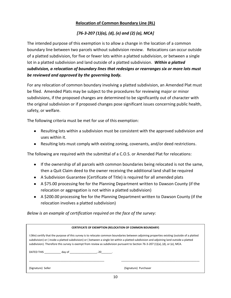# **Relocation of Common Boundary Line (RL)**

# *[76-3-207 (1)(a), (d), (e) and (2) (a), MCA]*

The intended purpose of this exemption is to allow a change in the location of a common boundary line between two parcels without subdivision review. Relocations can occur outside of a platted subdivision, for five or fewer lots within a platted subdivision, or between a single lot in a platted subdivision and land outside of a platted subdivision. *Within a platted subdivision, a relocation of boundary lines that redesigns or rearranges six or more lots must be reviewed and approved by the governing body.*

For any relocation of common boundary involving a platted subdivision, an Amended Plat must be filed. Amended Plats may be subject to the procedures for reviewing major or minor subdivisions, if the proposed changes are determined to be significantly out of character with the original subdivision or if proposed changes pose significant issues concerning public health, safety, or welfare.

The following criteria must be met for use of this exemption:

- Resulting lots within a subdivision must be consistent with the approved subdivision and uses within it.
- Resulting lots must comply with existing zoning, covenants, and/or deed restrictions.

The following are required with the submittal of a C.O.S. or Amended Plat for relocations:

- If the ownership of all parcels with common boundaries being relocated is not the same, then a Quit Claim deed to the owner receiving the additional land shall be required
- A Subdivision Guarantee (Certificate of Title) is required for all amended plats
- A \$75.00 processing fee for the Planning Department written to Dawson County (if the relocation or aggregation is not within a platted subdivision)
- A \$200.00 processing fee for the Planning Department written to Dawson County (if the relocation involves a platted subdivision)

*Below is an example of certification required on the face of the survey:*

| <b>CERTIFICATE OF EXEMPTION (RELOCATION OF COMMON BOUNDARY)</b>                                                                                                                                                                                                                                                                                                                                                             |                       |  |  |  |
|-----------------------------------------------------------------------------------------------------------------------------------------------------------------------------------------------------------------------------------------------------------------------------------------------------------------------------------------------------------------------------------------------------------------------------|-----------------------|--|--|--|
| I (We) certify that the purpose of this survey is to relocate common boundaries between adjoining properties existing (outside of a platted<br>subdivision) or (inside a platted subdivision) or (between a single lot within a platted subdivision and adjoining land outside a platted<br>subdivision). Therefore this survey is exempt from review as subdivision pursuant to Section 76-3-207 (1)(a), (d), or (e), MCA. |                       |  |  |  |
|                                                                                                                                                                                                                                                                                                                                                                                                                             |                       |  |  |  |
| (Signature) Seller                                                                                                                                                                                                                                                                                                                                                                                                          | (Signature) Purchaser |  |  |  |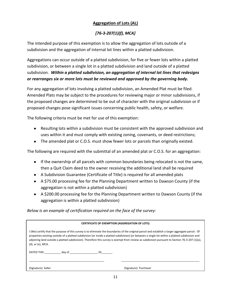# **Aggregation of Lots (AL)**

# *[76-3-207(1)(f), MCA]*

The intended purpose of this exemption is to allow the aggregation of lots outside of a subdivision and the aggregation of internal lot lines within a platted subdivision.

Aggregations can occur outside of a platted subdivision, for five or fewer lots within a platted subdivision, or between a single lot in a platted subdivision and land outside of a platted subdivision. *Within a platted subdivision, an aggregation of internal lot lines that redesigns or rearranges six or more lots must be reviewed and approved by the governing body.*

For any aggregation of lots involving a platted subdivision, an Amended Plat must be filed. Amended Plats may be subject to the procedures for reviewing major or minor subdivisions, if the proposed changes are determined to be out of character with the original subdivision or if proposed changes pose significant issues concerning public health, safety, or welfare.

The following criteria must be met for use of this exemption:

- Resulting lots within a subdivision must be consistent with the approved subdivision and uses within it and must comply with existing zoning, covenants, or deed restrictions;
- The amended plat or C.O.S. must show fewer lots or parcels than originally existed.

The following are required with the submittal of an amended plat or C.O.S. for an aggregation:

- If the ownership of all parcels with common boundaries being relocated is not the same, then a Quit Claim deed to the owner receiving the additional land shall be required
- A Subdivision Guarantee (Certificate of Title) is required for all amended plats
- A \$75.00 processing fee for the Planning Department written to Dawson County (if the aggregation is not within a platted subdivision)
- A \$200.00 processing fee for the Planning Department written to Dawson County (if the aggregation is within a platted subdivision)

*Below is an example of certification required on the face of the survey:*

| <b>CERTIFICATE OF EXEMPTION (AGGREGATION OF LOTS)</b>                                                                                                                                                                                                                                                                                                                                                                                                                       |                       |  |  |  |  |
|-----------------------------------------------------------------------------------------------------------------------------------------------------------------------------------------------------------------------------------------------------------------------------------------------------------------------------------------------------------------------------------------------------------------------------------------------------------------------------|-----------------------|--|--|--|--|
| I (We) certify that the purpose of this survey is to eliminate the boundaries of the original parcel and establish a larger aggregate parcel. Of<br>properties existing outside of a platted subdivision (or inside a platted subdivision) (or between a single lot within a platted subdivision and<br>adjoining land outside a platted subdivision). Therefore this survey is exempt from review as subdivision pursuant to Section 76-3-207 (1)(a),<br>(d), or (e), MCA. |                       |  |  |  |  |
| DATED THIS day of the control of the control of the control of the control of the control of the control of the control of the control of the control of the control of the control of the control of the control of the contr                                                                                                                                                                                                                                              |                       |  |  |  |  |
| (Signature) Seller                                                                                                                                                                                                                                                                                                                                                                                                                                                          | (Signature) Purchaser |  |  |  |  |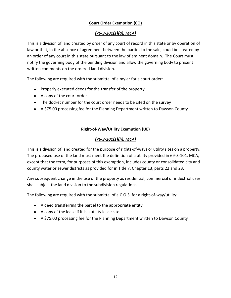# **Court Order Exemption (CO)**

# *(76-3-201(1)(a), MCA)*

This is a division of land created by order of any court of record in this state or by operation of law or that, in the absence of agreement between the parties to the sale, could be created by an order of any court in this state pursuant to the law of eminent domain. The Court must notify the governing body of the pending division and allow the governing body to present written comments on the ordered land division.

The following are required with the submittal of a mylar for a court order:

- Properly executed deeds for the transfer of the property
- A copy of the court order
- The docket number for the court order needs to be cited on the survey
- A \$75.00 processing fee for the Planning Department written to Dawson County

# **Right-of-Way/Utility Exemption (UE)**

# *(76-3-201(1)(h), MCA)*

This is a division of land created for the purpose of rights-of-ways or utility sites on a property. The proposed use of the land must meet the definition of a utility provided in 69-3-101, MCA, except that the term, for purposes of this exemption, includes county or consolidated city and county water or sewer districts as provided for in Title 7, Chapter 13, parts 22 and 23.

Any subsequent change in the use of the property as residential, commercial or industrial uses shall subject the land division to the subdivision regulations.

The following are required with the submittal of a C.O.S. for a right-of-way/utility:

- A deed transferring the parcel to the appropriate entity
- $\bullet$  A copy of the lease if it is a utility lease site
- A \$75.00 processing fee for the Planning Department written to Dawson County